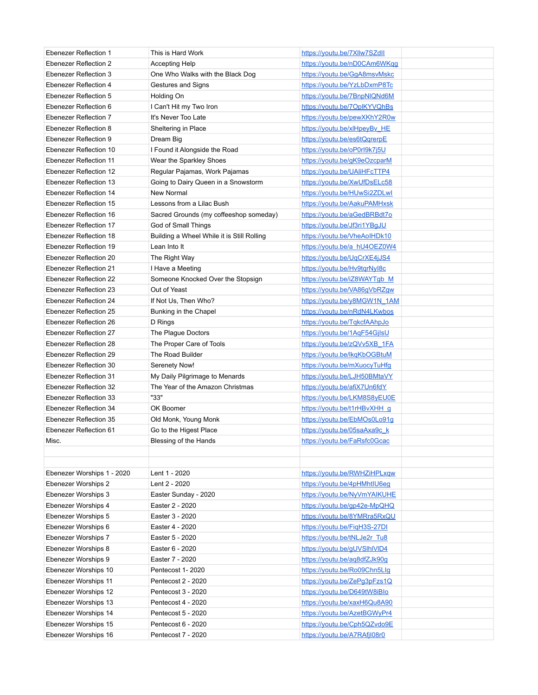| <b>Ebenezer Reflection 1</b>  | This is Hard Work                          | https://youtu.be/7Xllw7SZdll |
|-------------------------------|--------------------------------------------|------------------------------|
| <b>Ebenezer Reflection 2</b>  | <b>Accepting Help</b>                      | https://youtu.be/nD0CAm6WKgg |
| Ebenezer Reflection 3         | One Who Walks with the Black Dog           | https://youtu.be/GqA8msvMskc |
| Ebenezer Reflection 4         | Gestures and Signs                         | https://youtu.be/YzLbDxmP8Tc |
| <b>Ebenezer Reflection 5</b>  | Holding On                                 | https://youtu.be/7BnpNIQNd6M |
| Ebenezer Reflection 6         | I Can't Hit my Two Iron                    | https://youtu.be/7OplKYVQhBs |
| Ebenezer Reflection 7         | It's Never Too Late                        | https://youtu.be/pewXKhY2R0w |
| Ebenezer Reflection 8         | Sheltering in Place                        | https://youtu.be/xlHpeyBv_HE |
| Ebenezer Reflection 9         | Dream Big                                  | https://youtu.be/es6tQgrerpE |
| Ebenezer Reflection 10        | I Found it Alongside the Road              | https://youtu.be/oP0rl9k7j5U |
| <b>Ebenezer Reflection 11</b> | Wear the Sparkley Shoes                    | https://youtu.be/gK9eOzcparM |
| Ebenezer Reflection 12        | Regular Pajamas, Work Pajamas              | https://youtu.be/UAliHFcTTP4 |
| Ebenezer Reflection 13        | Going to Dairy Queen in a Snowstorm        | https://youtu.be/XwUfDsELc58 |
| Ebenezer Reflection 14        | New Normal                                 | https://youtu.be/HUwSi2ZDLwl |
| Ebenezer Reflection 15        | Lessons from a Lilac Bush                  | https://youtu.be/AakuPAMHxsk |
| Ebenezer Reflection 16        | Sacred Grounds (my coffeeshop someday)     | https://youtu.be/aGedBRBdt7o |
| Ebenezer Reflection 17        | God of Small Things                        | https://youtu.be/Jf3ri1YBgJU |
| Ebenezer Reflection 18        | Building a Wheel While it is Still Rolling | https://youtu.be/VheAoIHDk10 |
| Ebenezer Reflection 19        | Lean Into It                               | https://youtu.be/a hU4OEZ0W4 |
| Ebenezer Reflection 20        | The Right Way                              | https://youtu.be/UqCrXE4jJS4 |
| Ebenezer Reflection 21        | I Have a Meeting                           | https://youtu.be/Hv9tgrNyl8c |
| Ebenezer Reflection 22        | Someone Knocked Over the Stopsign          | https://youtu.be/iZ8WAYTgb_M |
| Ebenezer Reflection 23        | Out of Yeast                               | https://youtu.be/VA86gVbRZgw |
| Ebenezer Reflection 24        | If Not Us, Then Who?                       | https://youtu.be/y8MGW1N_1AM |
| Ebenezer Reflection 25        | Bunking in the Chapel                      | https://youtu.be/nRdN4LKwbos |
| Ebenezer Reflection 26        | D Rings                                    | https://youtu.be/TgkcfAAhpJo |
| Ebenezer Reflection 27        | The Plague Doctors                         | https://youtu.be/1AqF54GjlsU |
| Ebenezer Reflection 28        | The Proper Care of Tools                   | https://youtu.be/zQVv5XB 1FA |
| Ebenezer Reflection 29        | The Road Builder                           | https://youtu.be/lkgKbOGBtuM |
| Ebenezer Reflection 30        | Serenety Now!                              | https://youtu.be/mXuocyTuHfg |
| Ebenezer Reflection 31        | My Daily Pilgrimage to Menards             | https://youtu.be/LJH50BMtaVY |
| Ebenezer Reflection 32        | The Year of the Amazon Christmas           | https://youtu.be/afiX7Un6fdY |
| Ebenezer Reflection 33        | "33"                                       | https://youtu.be/LKM8S8yEU0E |
| Ebenezer Reflection 34        | OK Boomer                                  | https://youtu.be/t1rHBvXHH q |
| Ebenezer Reflection 35        | Old Monk, Young Monk                       | https://youtu.be/EbMOs0Lo91g |
| Ebenezer Reflection 61        | Go to the Higest Place                     | https://youtu.be/05saAxa9c k |
| Misc.                         | Blessing of the Hands                      | https://youtu.be/FaRsfc0Gcac |
|                               |                                            |                              |
|                               |                                            |                              |
| Ebenezer Worships 1 - 2020    | Lent 1 - 2020                              | https://youtu.be/RWHZiHPLxqw |
| Ebenezer Worships 2           | Lent 2 - 2020                              | https://youtu.be/4pHMhtIU6eq |
| Ebenezer Worships 3           | Easter Sunday - 2020                       | https://youtu.be/NyVmYAIKUHE |
| Ebenezer Worships 4           | Easter 2 - 2020                            | https://youtu.be/gp42e-MpQHQ |
| Ebenezer Worships 5           | Easter 3 - 2020                            | https://youtu.be/8YMRra5RxQU |
| Ebenezer Worships 6           | Easter 4 - 2020                            | https://youtu.be/FigH3S-27DI |
| Ebenezer Worships 7           | Easter 5 - 2020                            | https://youtu.be/tNLJe2r Tu8 |
| Ebenezer Worships 8           | Easter 6 - 2020                            | https://youtu.be/gUVSIhIVID4 |
| Ebenezer Worships 9           | Easter 7 - 2020                            | https://youtu.be/aq8dfZJk90g |
| Ebenezer Worships 10          | Pentecost 1-2020                           | https://youtu.be/Ro09Chn5Llg |
| Ebenezer Worships 11          | Pentecost 2 - 2020                         | https://youtu.be/ZePq3pFzs1Q |
| Ebenezer Worships 12          | Pentecost 3 - 2020                         | https://youtu.be/D649tW8iBlo |
| Ebenezer Worships 13          | Pentecost 4 - 2020                         | https://youtu.be/xaxH6Qu8A90 |
| Ebenezer Worships 14          | Pentecost 5 - 2020                         | https://youtu.be/AzetBGWyPr4 |
| Ebenezer Worships 15          | Pentecost 6 - 2020                         | https://youtu.be/Cph5QZvdo9E |
| Ebenezer Worships 16          | Pentecost 7 - 2020                         | https://youtu.be/A7RAfjl08r0 |
|                               |                                            |                              |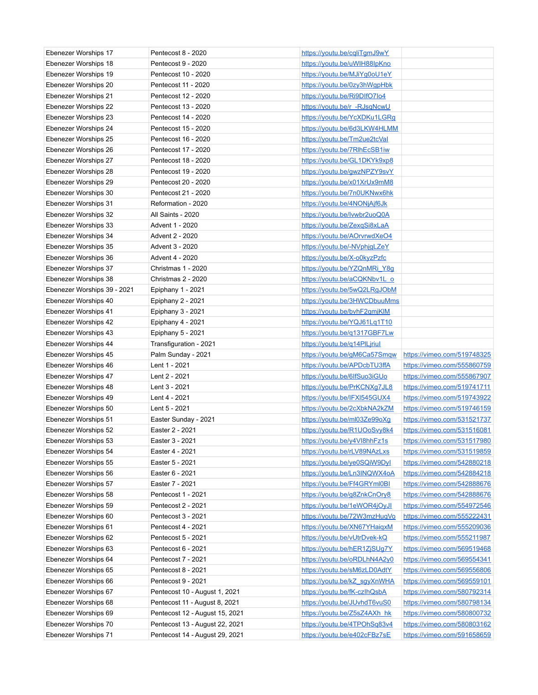| Ebenezer Worships 17        | Pentecost 8 - 2020             | https://youtu.be/cgliTgmJ9wY        |                             |
|-----------------------------|--------------------------------|-------------------------------------|-----------------------------|
| Ebenezer Worships 18        | Pentecost 9 - 2020             | https://youtu.be/uWIH88lpKno        |                             |
| Ebenezer Worships 19        | Pentecost 10 - 2020            | https://youtu.be/MJiYg0oU1eY        |                             |
| Ebenezer Worships 20        | Pentecost 11 - 2020            | https://youtu.be/0zy3hWgpHbk        |                             |
| Ebenezer Worships 21        | Pentecost 12 - 2020            | https://youtu.be/Ri9DIfO7lo4        |                             |
| Ebenezer Worships 22        | Pentecost 13 - 2020            | https://youtu.be/r -RJsgNcwU        |                             |
| Ebenezer Worships 23        | Pentecost 14 - 2020            | https://youtu.be/YcXDKu1LGRg        |                             |
| Ebenezer Worships 24        | Pentecost 15 - 2020            | https://youtu.be/6d3LKW4HLMM        |                             |
| Ebenezer Worships 25        | Pentecost 16 - 2020            | https://youtu.be/Tm2ue2tcVal        |                             |
| Ebenezer Worships 26        | Pentecost 17 - 2020            | https://youtu.be/7RlhEcSB1iw        |                             |
| Ebenezer Worships 27        | Pentecost 18 - 2020            | https://youtu.be/GL1DKYk9xp8        |                             |
| Ebenezer Worships 28        | Pentecost 19 - 2020            | https://youtu.be/gwzNPZY9svY        |                             |
| Ebenezer Worships 29        | Pentecost 20 - 2020            | https://youtu.be/x01XrUx9mM8        |                             |
| Ebenezer Worships 30        | Pentecost 21 - 2020            | https://youtu.be/7n0UKNwx6hk        |                             |
| Ebenezer Worships 31        | Reformation - 2020             | <u>https://youtu.be/4NONjAjf6Jk</u> |                             |
| Ebenezer Worships 32        | All Saints - 2020              | https://youtu.be/lvwbr2uoQ0A        |                             |
| Ebenezer Worships 33        | Advent 1 - 2020                | https://youtu.be/ZexgSi8xLaA        |                             |
| Ebenezer Worships 34        | Advent 2 - 2020                | https://youtu.be/AOrvrwdXeO4        |                             |
| Ebenezer Worships 35        | Advent 3 - 2020                | https://youtu.be/-NVphjgLZeY        |                             |
| Ebenezer Worships 36        | Advent 4 - 2020                | <u>https://youtu.be/X-o0kyzPzfc</u> |                             |
| Ebenezer Worships 37        | Christmas 1 - 2020             | https://youtu.be/YZQnMRi_Y8g        |                             |
| Ebenezer Worships 38        | Christmas 2 - 2020             | https://youtu.be/aCQKNbv1Lo         |                             |
| Ebenezer Worships 39 - 2021 | Epiphany 1 - 2021              | https://youtu.be/5wQ2LRgJObM        |                             |
| Ebenezer Worships 40        | Epiphany 2 - 2021              | https://youtu.be/3HWCDbuuMms        |                             |
| Ebenezer Worships 41        | Epiphany 3 - 2021              | https://youtu.be/bvhF2qmjKlM        |                             |
| Ebenezer Worships 42        | Epiphany 4 - 2021              | https://youtu.be/YQJ61Lq1T10        |                             |
| Ebenezer Worships 43        | Epiphany 5 - 2021              | https://youtu.be/q1317GBF7Lw        |                             |
| Ebenezer Worships 44        | Transfiguration - 2021         | https://youtu.be/q14PILjriul        |                             |
| Ebenezer Worships 45        | Palm Sunday - 2021             | https://youtu.be/gM6Ca57Smgw        | https://vimeo.com/519748325 |
| Ebenezer Worships 46        | Lent 1 - 2021                  | https://youtu.be/APDcbTU3ffA        | https://vimeo.com/555860759 |
| Ebenezer Worships 47        | Lent 2 - 2021                  | https://youtu.be/6lfSuo3iGUo        | https://vimeo.com/555867907 |
| Ebenezer Worships 48        | Lent 3 - 2021                  | https://youtu.be/PrKCNXg7JL8        | https://vimeo.com/519741711 |
| Ebenezer Worships 49        | Lent 4 - 2021                  | https://youtu.be/IFXI545GUX4        | https://vimeo.com/519743922 |
| Ebenezer Worships 50        | Lent 5 - 2021                  | https://youtu.be/2cXbkNA2kZM        | https://vimeo.com/519746159 |
| Ebenezer Worships 51        | Easter Sunday - 2021           | https://youtu.be/ml03Ze99oXg        | https://vimeo.com/531521737 |
| Ebenezer Worships 52        | Easter 2 - 2021                | https://youtu.be/R1UOoSvy8k4        | https://vimeo.com/531516081 |
| Ebenezer Worships 53        | Easter 3 - 2021                | https://youtu.be/y4VI8hhFz1s        | https://vimeo.com/531517980 |
| Ebenezer Worships 54        | Easter 4 - 2021                | https://youtu.be/rLV89NAzLxs        | https://vimeo.com/531519859 |
| Ebenezer Worships 55        | Easter 5 - 2021                | https://youtu.be/ye0SQiW9Dyl        | https://vimeo.com/542880218 |
| Ebenezer Worships 56        | Easter 6 - 2021                | https://youtu.be/Ln3INQWX4oA        | https://vimeo.com/542884218 |
| Ebenezer Worships 57        | Easter 7 - 2021                | https://youtu.be/Ff4GRYml0BI        | https://vimeo.com/542888676 |
| Ebenezer Worships 58        | Pentecost 1 - 2021             | https://youtu.be/g8ZnkCnOry8        | https://vimeo.com/542888676 |
| Ebenezer Worships 59        | Pentecost 2 - 2021             | https://youtu.be/1eWOR4jOyJI        | https://vimeo.com/554972546 |
| Ebenezer Worships 60        | Pentecost 3 - 2021             | https://youtu.be/72W3mzHuqVo        | https://vimeo.com/555222431 |
| Ebenezer Worships 61        | Pentecost 4 - 2021             | https://youtu.be/XN67YHaigxM        | https://vimeo.com/555209036 |
| Ebenezer Worships 62        | Pentecost 5 - 2021             | https://youtu.be/vUtrDvek-kQ        | https://vimeo.com/555211987 |
| Ebenezer Worships 63        | Pentecost 6 - 2021             | https://youtu.be/hER1ZjSUg7Y        | https://vimeo.com/569519468 |
| Ebenezer Worships 64        | Pentecost 7 - 2021             | https://youtu.be/oRDLhN4A2y0        | https://vimeo.com/569554341 |
| Ebenezer Worships 65        | Pentecost 8 - 2021             | https://youtu.be/sM6zLD0AdtY        | https://vimeo.com/569556806 |
| Ebenezer Worships 66        | Pentecost 9 - 2021             | https://youtu.be/kZ sqyXnWHA        | https://vimeo.com/569559101 |
| Ebenezer Worships 67        | Pentecost 10 - August 1, 2021  | https://youtu.be/fK-czlhQsbA        | https://vimeo.com/580792314 |
| Ebenezer Worships 68        | Pentecost 11 - August 8, 2021  | https://youtu.be/JUvhdT6vuS0        | https://vimeo.com/580798134 |
| Ebenezer Worships 69        | Pentecost 12 - August 15, 2021 | https://youtu.be/Z5sZ4AXh hk        | https://vimeo.com/580800732 |
| Ebenezer Worships 70        | Pentecost 13 - August 22, 2021 | https://youtu.be/4TPOhSq83v4        | https://vimeo.com/580803162 |
| Ebenezer Worships 71        | Pentecost 14 - August 29, 2021 | https://youtu.be/e402cFBz7sE        | https://vimeo.com/591658659 |